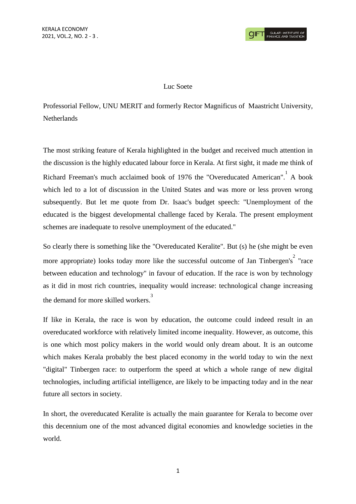## Luc Soete

Professorial Fellow, UNU MERIT and formerly Rector Magnificus of Maastricht University, **Netherlands** 

The most striking feature of Kerala highlighted in the budget and received much attention in the discussion is the highly educated labour force in Kerala. At first sight, it made me think of Richard Freeman's much acclaimed book of 1976 the "Overeducated American". A book which led to a lot of discussion in the United States and was more or less proven wrong subsequently. But let me quote from Dr. Isaac's budget speech: "Unemployment of the educated is the biggest developmental challenge faced by Kerala. The present employment schemes are inadequate to resolve unemployment of the educated."

So clearly there is something like the "Overeducated Keralite". But (s) he (she might be even more appropriate) looks today more like the successful outcome of Jan Tinbergen's<sup>2</sup> "race between education and technology" in favour of education. If the race is won by technology as it did in most rich countries, inequality would increase: technological change increasing the demand for more skilled workers. 3

If like in Kerala, the race is won by education, the outcome could indeed result in an overeducated workforce with relatively limited income inequality. However, as outcome, this is one which most policy makers in the world would only dream about. It is an outcome which makes Kerala probably the best placed economy in the world today to win the next "digital" Tinbergen race: to outperform the speed at which a whole range of new digital technologies, including artificial intelligence, are likely to be impacting today and in the near future all sectors in society.

In short, the overeducated Keralite is actually the main guarantee for Kerala to become over this decennium one of the most advanced digital economies and knowledge societies in the world.